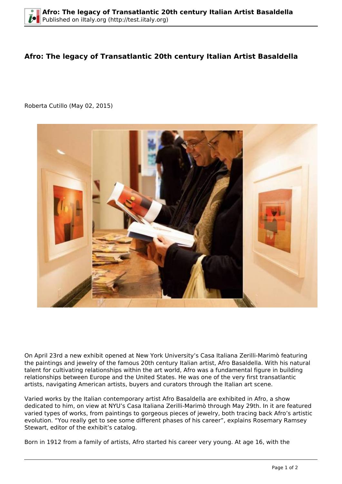## **Afro: The legacy of Transatlantic 20th century Italian Artist Basaldella**

Roberta Cutillo (May 02, 2015)



On April 23rd a new exhibit opened at New York University's Casa Italiana Zerilli-Marimò featuring the paintings and jewelry of the famous 20th century Italian artist, Afro Basaldella. With his natural talent for cultivating relationships within the art world, Afro was a fundamental figure in building relationships between Europe and the United States. He was one of the very first transatlantic artists, navigating American artists, buyers and curators through the Italian art scene.

Varied works by the Italian contemporary artist Afro Basaldella are exhibited in Afro, a show dedicated to him, on view at NYU's Casa Italiana Zerilli-Marimò through May 29th. In it are featured varied types of works, from paintings to gorgeous pieces of jewelry, both tracing back Afro's artistic evolution. "You really get to see some different phases of his career", explains Rosemary Ramsey Stewart, editor of the exhibit's catalog.

Born in 1912 from a family of artists, Afro started his career very young. At age 16, with the